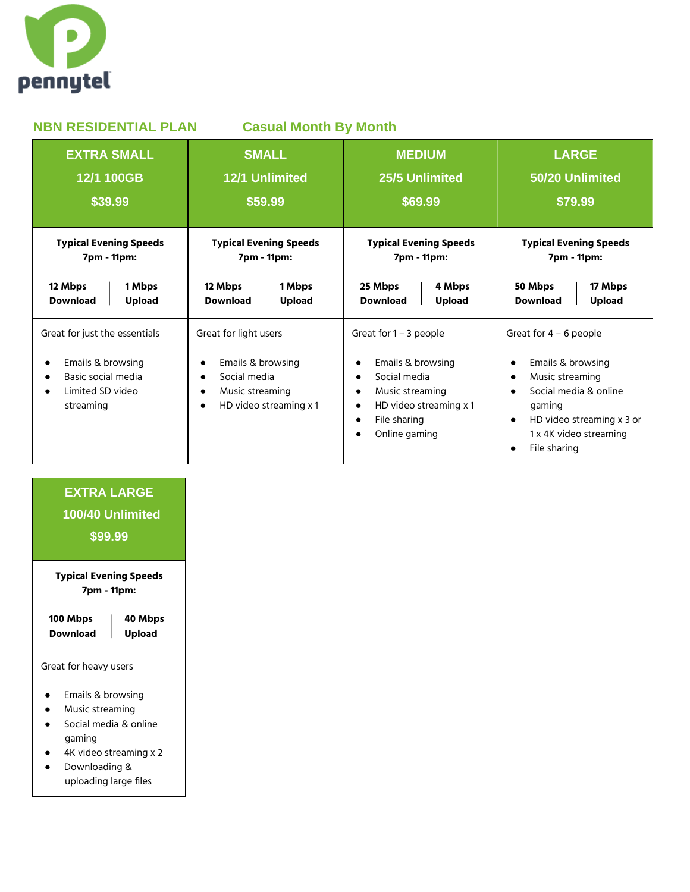

| <b>NBN RESIDENTIAL PLAN</b><br><b>Casual Month By Month</b>                                                                         |                                                                                                         |                                                                                                                                                                                                                         |                                                                                                                                                                                                      |
|-------------------------------------------------------------------------------------------------------------------------------------|---------------------------------------------------------------------------------------------------------|-------------------------------------------------------------------------------------------------------------------------------------------------------------------------------------------------------------------------|------------------------------------------------------------------------------------------------------------------------------------------------------------------------------------------------------|
| <b>EXTRA SMALL</b>                                                                                                                  | <b>SMALL</b>                                                                                            | <b>MEDIUM</b>                                                                                                                                                                                                           | <b>LARGE</b>                                                                                                                                                                                         |
| 12/1 100GB                                                                                                                          | 12/1 Unlimited                                                                                          | 25/5 Unlimited                                                                                                                                                                                                          | 50/20 Unlimited                                                                                                                                                                                      |
| \$39.99                                                                                                                             | \$59.99                                                                                                 | \$69.99                                                                                                                                                                                                                 | \$79.99                                                                                                                                                                                              |
| <b>Typical Evening Speeds</b>                                                                                                       | <b>Typical Evening Speeds</b>                                                                           | <b>Typical Evening Speeds</b>                                                                                                                                                                                           | <b>Typical Evening Speeds</b>                                                                                                                                                                        |
| 7pm - 11pm:                                                                                                                         | 7pm - 11pm:                                                                                             | 7pm - 11pm:                                                                                                                                                                                                             | 7pm - 11pm:                                                                                                                                                                                          |
| 12 Mbps                                                                                                                             | 12 Mbps                                                                                                 | 25 Mbps                                                                                                                                                                                                                 | 50 Mbps                                                                                                                                                                                              |
| 1 Mbps                                                                                                                              | 1 Mbps                                                                                                  | 4 Mbps                                                                                                                                                                                                                  | 17 Mbps                                                                                                                                                                                              |
| <b>Download</b>                                                                                                                     | <b>Download</b>                                                                                         | <b>Upload</b>                                                                                                                                                                                                           | <b>Upload</b>                                                                                                                                                                                        |
| <b>Upload</b>                                                                                                                       | <b>Upload</b>                                                                                           | <b>Download</b>                                                                                                                                                                                                         | <b>Download</b>                                                                                                                                                                                      |
| Great for just the essentials<br>Emails & browsing<br>$\bullet$<br>Basic social media<br>Limited SD video<br>$\bullet$<br>streaming | Great for light users<br>Emails & browsing<br>Social media<br>Music streaming<br>HD video streaming x 1 | Great for 1 - 3 people<br>Emails & browsing<br>$\bullet$<br>Social media<br>$\bullet$<br>Music streaming<br>$\bullet$<br>HD video streaming x 1<br>$\bullet$<br>File sharing<br>$\bullet$<br>Online gaming<br>$\bullet$ | Great for $4 - 6$ people<br>Emails & browsing<br>$\bullet$<br>Music streaming<br>$\bullet$<br>Social media & online<br>gaming<br>HD video streaming x 3 or<br>1 x 4K video streaming<br>File sharing |

## **EXTRA LARGE 100/40 Unlimited \$99.99 Typical Evening Speeds 7pm - 11pm: 100 Mbps 40 Mbps Download Upload** Great for heavy users ● Emails & browsing ● Music streaming ● Social media & online gaming ● 4K video streaming x 2 ● Downloading & uploading large files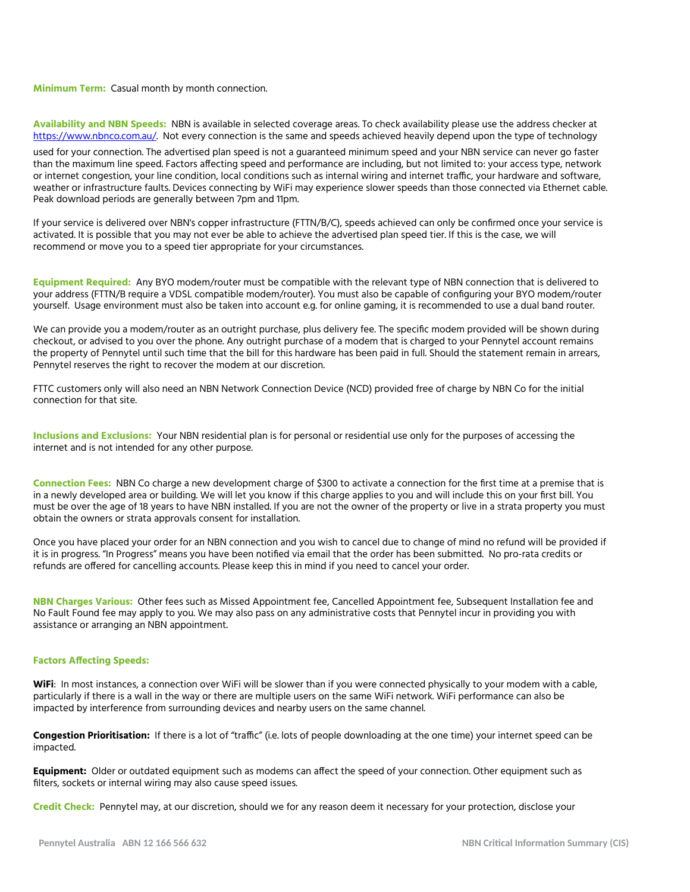**Minimum Term:** Casual month by month connection.

**Availability and NBN Speeds:** NBN is available in selected coverage areas. To check availability please use the address checker at [https://www.nbnco.com.au/.](https://www.nbnco.com.au/) Not every connection is the same and speeds achieved heavily depend upon the type of technology

used for your connection. The advertised plan speed is not a guaranteed minimum speed and your NBN service can never go faster than the maximum line speed. Factors affecting speed and performance are including, but not limited to: your access type, network or internet congestion, your line condition, local conditions such as internal wiring and internet traffic, your hardware and software, weather or infrastructure faults. Devices connecting by WiFi may experience slower speeds than those connected via Ethernet cable. Peak download periods are generally between 7pm and 11pm.

If your service is delivered over NBN's copper infrastructure (FTTN/B/C), speeds achieved can only be confirmed once your service is activated. It is possible that you may not ever be able to achieve the advertised plan speed tier. If this is the case, we will recommend or move you to a speed tier appropriate for your circumstances.

**Equipment Required:** Any BYO modem/router must be compatible with the relevant type of NBN connection that is delivered to your address (FTTN/B require a VDSL compatible modem/router). You must also be capable of configuring your BYO modem/router yourself. Usage environment must also be taken into account e.g. for online gaming, it is recommended to use a dual band router.

We can provide you a modem/router as an outright purchase, plus delivery fee. The specific modem provided will be shown during checkout, or advised to you over the phone. Any outright purchase of a modem that is charged to your Pennytel account remains the property of Pennytel until such time that the bill for this hardware has been paid in full. Should the statement remain in arrears, Pennytel reserves the right to recover the modem at our discretion.

FTTC customers only will also need an NBN Network Connection Device (NCD) provided free of charge by NBN Co for the initial connection for that site.

**Inclusions and Exclusions:** Your NBN residential plan is for personal or residential use only for the purposes of accessing the internet and is not intended for any other purpose.

**Connection Fees:** NBN Co charge a new development charge of \$300 to activate a connection for the first time at a premise that is in a newly developed area or building. We will let you know if this charge applies to you and will include this on your first bill. You must be over the age of 18 years to have NBN installed. If you are not the owner of the property or live in a strata property you must obtain the owners or strata approvals consent for installation.

Once you have placed your order for an NBN connection and you wish to cancel due to change of mind no refund will be provided if it is in progress. "In Progress" means you have been notified via email that the order has been submitted. No pro-rata credits or refunds are offered for cancelling accounts. Please keep this in mind if you need to cancel your order.

**NBN Charges Various:** Other fees such as Missed Appointment fee, Cancelled Appointment fee, Subsequent Installation fee and No Fault Found fee may apply to you. We may also pass on any administrative costs that Pennytel incur in providing you with assistance or arranging an NBN appointment.

## **Factors Affecting Speeds:**

**WiFi**: In most instances, a connection over WiFi will be slower than if you were connected physically to your modem with a cable, particularly if there is a wall in the way or there are multiple users on the same WiFi network. WiFi performance can also be impacted by interference from surrounding devices and nearby users on the same channel.

**Congestion Prioritisation:** If there is a lot of "traffic" (i.e. lots of people downloading at the one time) your internet speed can be impacted.

**Equipment:** Older or outdated equipment such as modems can affect the speed of your connection. Other equipment such as filters, sockets or internal wiring may also cause speed issues.

**Credit Check:** Pennytel may, at our discretion, should we for any reason deem it necessary for your protection, disclose your